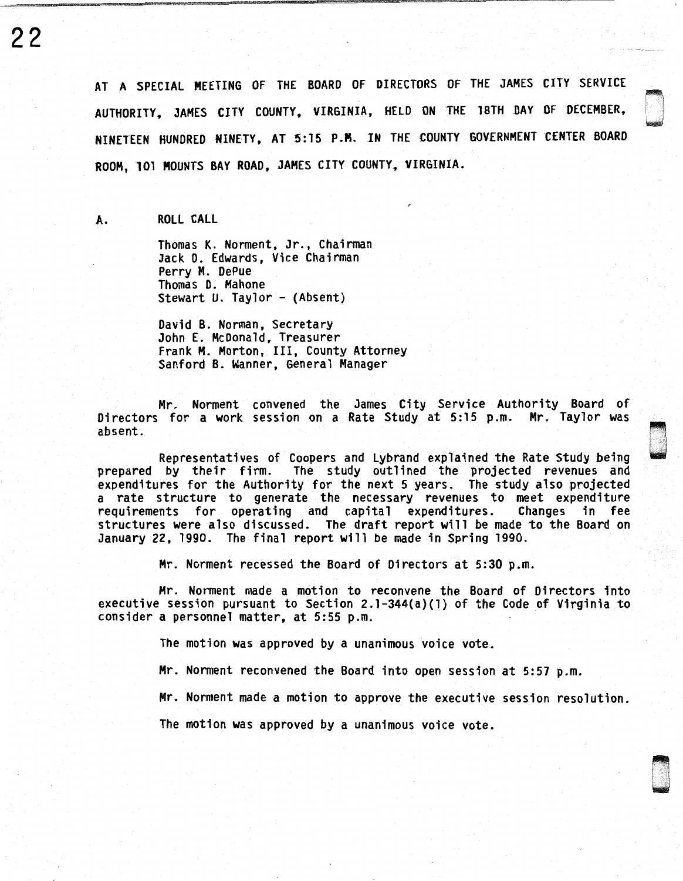AT A SPECIAL MEETING OF THE BOARD OF DIRECTORS OF THE JAMES CITY SERVICE AUTHORITY, JAMES CITY COUNTY, VIRGINIA, HELD ON THE 18TH DAY OF DECEMBER, NINETEEN HUNDRED NINETY, AT 5:15 P.M. IN THE COUNTY GOVERNMENT CENTER BOARD ROOM, 101 MOUNTS BAY ROAD, JAMES CITY COUNTY, VIRGINIA.

A. ROLL CALL

22

Thomas K. Norment, Jr., Chairman Jack D. Edwards, Vice Chairman Perry M. DePue Thomas D. Mahone Stewart U. Taylor - (Absent)

David B. Norman, Secretary John E. McDonald, Treasurer Frank M. Morton, III, County Attorney Sanford B. Wanner, General Manager

Mr. Norment convened the James City Service Authority Board of Directors for a work session on a Rate Study at 5:15 p.m. Mr. Taylor was absent.

Representatives of Coopers and Lybrand explained the Rate Study being<br>prepared by their firm. The study outlined the projected revenues and expenditures for the Authority for the next 5 years. The study also projected a rate structure to generate the necessary revenues to meet expenditure requirements for operating and capital expenditures. structures were also discussed. The draft report will be made to the Board on January 22, 1990. The final report will be made in Spring 1990.

Mr. Norment recessed the Board of Directors at 5:30 p.m.

Mr. Norment made a motion to reconvene the Board of Directors into executive session pursuant to Section 2.l-344(a)(l) of the Code of Virginia to consider a personnel matter, at 5:55 p.m.

The motion was approved by a unanimous voice vote.

Mr. Norment reconvened the Board into open session at 5:57 p.m.

Mr. Norment made a motion to approve the executive session resolution.

The motion was approved by a unanimous voice vote.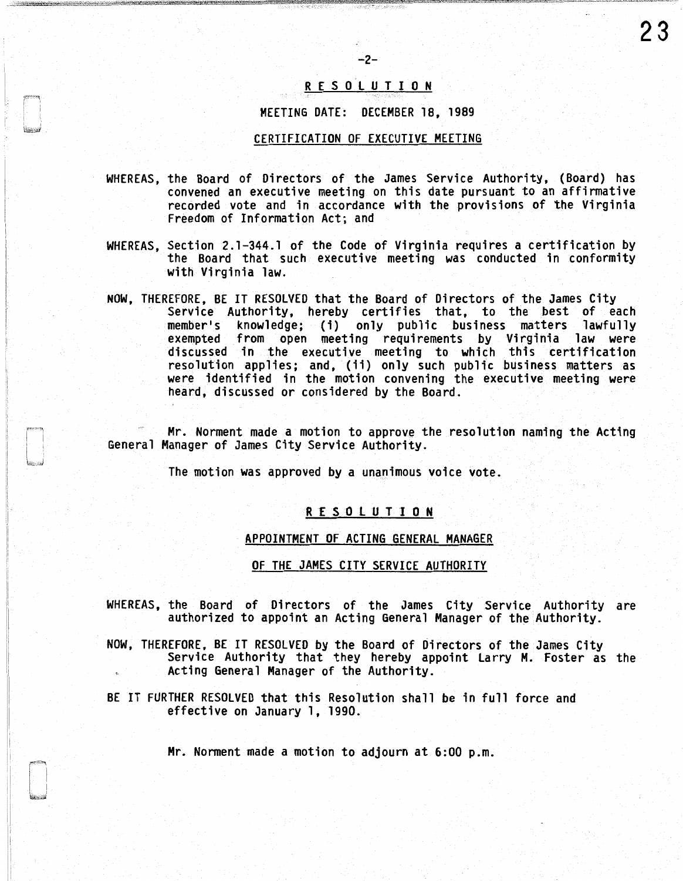# R E S 0 l U T I 0 N

 $-2-$ 

### MEETING DATE: DECEMBER 18, 1989

#### CERTIFICATION OF EXECUTIVE MEETING

- WHEREAS, the Board of Directors of the James Service Authority, (Board) has convened an executive meeting on this date pursuant to an affirmative recorded vote and in accordance with the provisions of the Virginia Freedom of Information Act; and
- WHEREAS, Section 2.1-344.1 of the Code of Virginia requires a certification by the Board that such executive meeting was conducted in conformity with Virginia law.
- NOW, THEREFORE, BE IT RESOLVED that the Board of Directors of the James City Service Authority, hereby certifies that, to the best of each member's knowledge; (i) only public business matters lawfully exempted from open meeting requirements by Virginia law were discussed in the executive meeting to which this certification resolution applies; and, (ii) only such public business matters as were identified in the motion convening the executive meeting were heard, discussed or considered by the Board.

Mr. Norment made a motion to approve the resolution naming the Acting General Manager of James City Service Authority.

The motion was approved by a unanimous voice vote.

### R E S 0 l U T I 0 N

# APPOINTMENT OF ACTING GENERAL MANAGER

OF THE JAMES CITY SERVICE AUTHORITY

- WHEREAS, the Board of Directors of the James City Service Authority are authorized to appoint an Acting General Manager of the Authority.
- NOW, THEREFORE, BE IT RESOLVED by the Board of Directors of the James City<br>Service Authority that they hereby appoint Larry M. Foster as the Acting General Manager of the Authority.
- BE IT FURTHER RESOLVED that this Resolution shall be in full force and effective on January 1, 1990.

Mr. Norment made a motion to adjourn at 6:00 p.m.

23